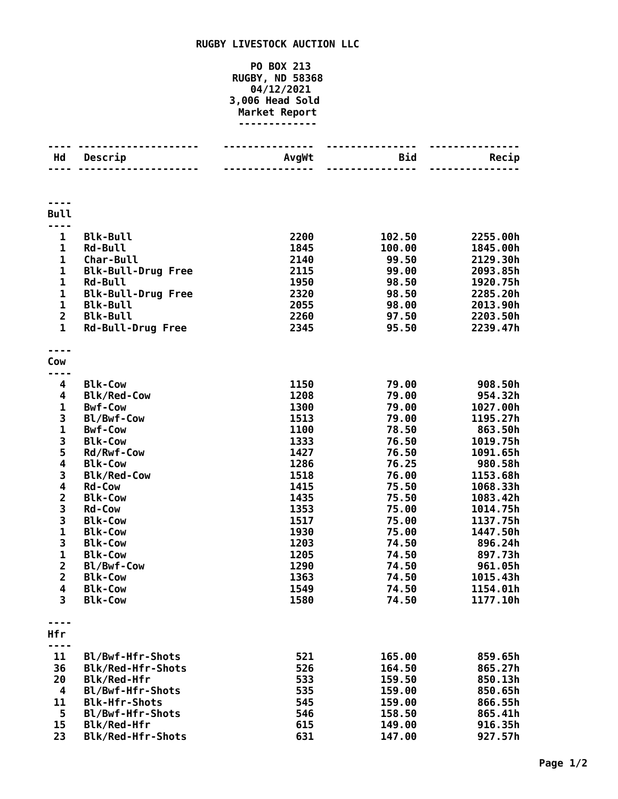## **RUGBY LIVESTOCK AUCTION LLC**

## **PO BOX 213 RUGBY, ND 58368 04/12/2021 3,006 Head Sold Market Report -------------**

| Hd                      | Descrip                                     | AvgWt        | Bid<br>-----   | Recip                |
|-------------------------|---------------------------------------------|--------------|----------------|----------------------|
|                         |                                             |              |                |                      |
| <b>Bull</b>             |                                             |              |                |                      |
|                         |                                             |              |                |                      |
| $\mathbf{1}$            | <b>Blk-Bull</b>                             | 2200         | 102.50         | 2255.00h             |
| $\mathbf 1$             | <b>Rd-Bull</b>                              | 1845         | 100.00         | 1845.00h             |
| $\mathbf 1$<br>1        | Char-Bull                                   | 2140         | 99.50<br>99.00 | 2129.30h             |
| $\mathbf 1$             | <b>Blk-Bull-Drug Free</b><br><b>Rd-Bull</b> | 2115<br>1950 | 98.50          | 2093.85h<br>1920.75h |
| $\mathbf 1$             | <b>Blk-Bull-Drug Free</b>                   | 2320         | 98.50          | 2285.20h             |
| $\mathbf{1}$            | <b>Blk-Bull</b>                             | 2055         | 98.00          | 2013.90h             |
| $\overline{2}$          | <b>Blk-Bull</b>                             | 2260         | 97.50          | 2203.50h             |
| $\mathbf{1}$            | <b>Rd-Bull-Drug Free</b>                    | 2345         | 95.50          | 2239.47h             |
|                         |                                             |              |                |                      |
| Cow                     |                                             |              |                |                      |
| 4                       | <b>Blk-Cow</b>                              | 1150         | 79.00          | 908.50h              |
| 4                       | <b>Blk/Red-Cow</b>                          | 1208         | 79.00          | 954.32h              |
| 1                       | <b>Bwf-Cow</b>                              | 1300         | 79.00          | 1027.00h             |
| 3                       | Bl/Bwf-Cow                                  | 1513         | 79.00          | 1195.27h             |
| $\mathbf 1$             | <b>Bwf-Cow</b>                              | 1100         | 78.50          | 863.50h              |
| 3                       | <b>Blk-Cow</b>                              | 1333         | 76.50          | 1019.75h             |
| 5                       | Rd/Rwf-Cow                                  | 1427         | 76.50          | 1091.65h             |
| $\overline{\mathbf{4}}$ | <b>Blk-Cow</b>                              | 1286         | 76.25          | 980.58h              |
| 3                       | <b>Blk/Red-Cow</b>                          | 1518         | 76.00          | 1153.68h             |
| 4                       | <b>Rd-Cow</b>                               | 1415         | 75.50          | 1068.33h             |
| $\overline{\mathbf{c}}$ | <b>Blk-Cow</b>                              | 1435         | 75.50          | 1083.42h             |
| 3                       | <b>Rd-Cow</b>                               | 1353         | 75.00          | 1014.75h             |
| 3                       | <b>Blk-Cow</b>                              | 1517         | 75.00          | 1137.75h             |
| $\mathbf{1}$            | <b>Blk-Cow</b>                              | 1930         | 75.00          | 1447.50h             |
| 3                       | <b>Blk-Cow</b>                              | 1203         | 74.50          | 896.24h              |
| $\mathbf{1}$            | <b>Blk-Cow</b>                              | 1205         | 74.50          | 897.73h              |
| $\overline{\mathbf{c}}$ | Bl/Bwf-Cow                                  | 1290         | 74.50          | 961.05h              |
| $\overline{2}$          | <b>Blk-Cow</b>                              | 1363         | 74.50          | 1015.43h             |
| 4<br>3                  | <b>Blk-Cow</b><br><b>Blk-Cow</b>            | 1549<br>1580 | 74.50<br>74.50 | 1154.01h<br>1177.10h |
|                         |                                             |              |                |                      |
| <b>Hfr</b>              |                                             |              |                |                      |
|                         |                                             |              |                |                      |
| 11                      | Bl/Bwf-Hfr-Shots                            | 521          | 165.00         | 859.65h              |
| 36                      | Blk/Red-Hfr-Shots                           | 526          | 164.50         | 865.27h              |
| 20                      | Blk/Red-Hfr                                 | 533          | 159.50         | 850.13h              |
| 4                       | Bl/Bwf-Hfr-Shots                            | 535          | 159.00         | 850.65h              |
| 11                      | <b>Blk-Hfr-Shots</b>                        | 545          | 159.00         | 866.55h              |
| 5                       | Bl/Bwf-Hfr-Shots                            | 546          | 158.50         | 865.41h              |
| 15                      | Blk/Red-Hfr                                 | 615          | 149.00         | 916.35h              |
| 23                      | Blk/Red-Hfr-Shots                           | 631          | 147.00         | 927.57h              |